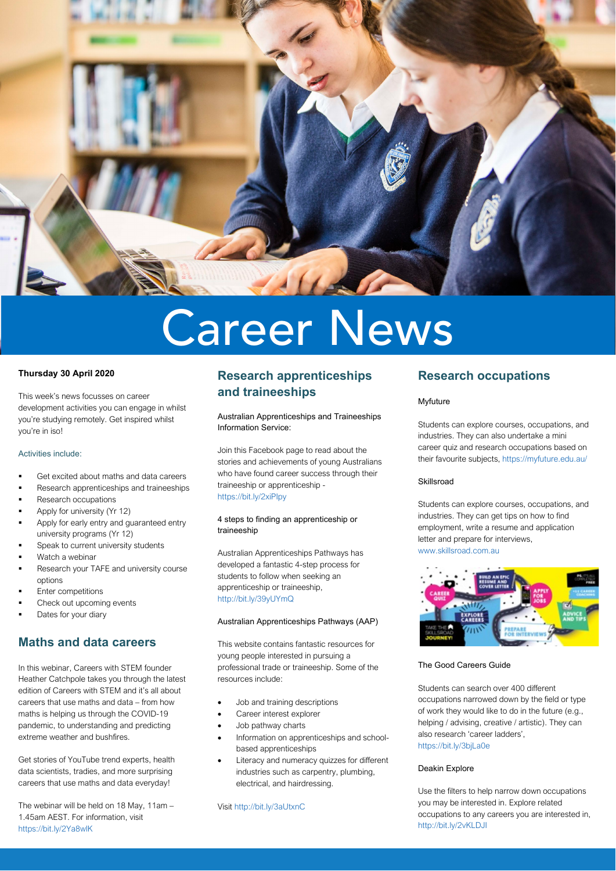

# Career News

#### **Thursday 30 April 2020**

This week's news focusses on career development activities you can engage in whilst you're studying remotely. Get inspired whilst you're in iso!

#### Activities include:

- Get excited about maths and data careers
- Research apprenticeships and traineeships
- Research occupations
- Apply for university (Yr 12)
- Apply for early entry and guaranteed entry university programs (Yr 12)
- Speak to current university students
- Watch a webinar
- Research your TAFE and university course options
- Enter competitions
- Check out upcoming events
- Dates for your diary

### **Maths and data careers**

In this webinar, Careers with STEM founder Heather Catchpole takes you through the latest edition of [Careers with STEM](http://www.careerswithstem.com.au/) and it's all about careers that use maths and data – from how maths is helping us through the COVID-19 pandemic, to understanding and predicting extreme weather and bushfires.

Get stories of YouTube trend experts, health data scientists, tradies, and more surprising careers that use maths and data everyday!

The webinar will be held on 18 May, 11am – 1.45am AEST. For information, visit <https://bit.ly/2Ya8wlK>

# **Research apprenticeships and traineeships**

Australian Apprenticeships and Traineeships Information Service:

Join this Facebook page to read about the stories and achievements of young Australians who have found career success through their traineeship or apprenticeship <https://bit.ly/2xiPIpy>

#### 4 steps to finding an apprenticeship or traineeship

Australian Apprenticeships Pathways has developed a fantastic 4-step process for students to follow when seeking an apprenticeship or traineeship, <http://bit.ly/39yUYmQ>

#### Australian Apprenticeships Pathways (AAP)

This website contains fantastic resources for young people interested in pursuing a professional trade or traineeship. Some of the resources include:

- Job and training descriptions
- Career interest explorer
- Job pathway charts
- Information on apprenticeships and schoolbased apprenticeships
- Literacy and numeracy quizzes for different industries such as carpentry, plumbing, electrical, and hairdressing.

Visi[t http://bit.ly/3aUtxnC](http://bit.ly/3aUtxnC)

## **Research occupations**

#### Myfuture

Students can explore courses, occupations, and industries. They can also undertake a mini career quiz and research occupations based on their favourite subjects,<https://myfuture.edu.au/>

#### Skillsroad

Students can explore courses, occupations, and industries. They can get tips on how to find employment, write a resume and application letter and prepare for interviews, [www.skillsroad.com.au](http://www.skillsroad.com.au/)



#### The Good Careers Guide

Students can search over 400 different occupations narrowed down by the field or type of work they would like to do in the future (e.g., helping / advising, creative / artistic). They can also research 'career ladders', <https://bit.ly/3bjLa0e>

#### Deakin Explore

Use the filters to help narrow down occupations you may be interested in. Explore related occupations to any careers you are interested in, <http://bit.ly/2vKLDJI>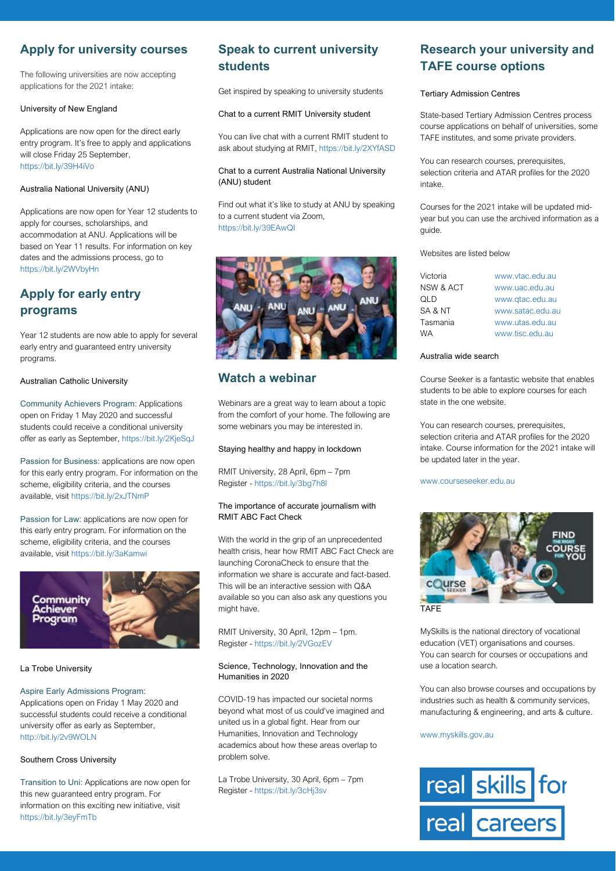# **Apply for university courses**

The following universities are now accepting applications for the 2021 intake:

#### University of New England

Applications are now open for the direct early entry program. It's free to apply and applications will close Friday 25 September. <https://bit.ly/39H4iVo>

#### Australia National University (ANU)

Applications are now open for Year 12 students to apply for courses, scholarships, and accommodation at ANU. Applications will be based on Year 11 results. For information on key dates and the admissions process, go to <https://bit.ly/2WVbyHn>

# **Apply for early entry programs**

Year 12 students are now able to apply for several early entry and guaranteed entry university programs.

Australian Catholic University

Community Achievers Program: Applications open on Friday 1 May 2020 and successful students could receive a conditional university offer as early as September,<https://bit.ly/2KjeSqJ>

Passion for Business: applications are now open for this early entry program. For information on the scheme, eligibility criteria, and the courses available, visit<https://bit.ly/2xJTNmP>

Passion for Law: applications are now open for this early entry program. For information on the scheme, eligibility criteria, and the courses available, visit<https://bit.ly/3aKamwi>



#### La Trobe University

#### Aspire Early Admissions Program:

Applications open on Friday 1 May 2020 and successful students could receive a conditional university offer as early as September, <http://bit.ly/2v9WOLN>

#### Southern Cross University

Transition to Uni: Applications are now open for this new guaranteed entry program. For information on this exciting new initiative, visit <https://bit.ly/3eyFmTb>

# **Speak to current university students**

Get inspired by speaking to university students

#### Chat to a current RMIT University student

You can live chat with a current RMIT student to ask about studying at RMIT[, https://bit.ly/2XYfASD](https://bit.ly/2XYfASD)

#### Chat to a current Australia National University (ANU) student

Find out what it's like to study at ANU by speaking to a current student via Zoom, <https://bit.ly/39EAwQI>



# **Watch a webinar**

Webinars are a great way to learn about a topic from the comfort of your home. The following are some webinars you may be interested in.

#### Staying healthy and happy in lockdown

RMIT University, 28 April, 6pm – 7pm Register - <https://bit.ly/3bg7h8l>

#### The importance of accurate journalism with RMIT ABC Fact Check

With the world in the grip of an unprecedented health crisis, hear how RMIT ABC Fact Check are launching CoronaCheck to ensure that the information we share is accurate and fact-based. This will be an interactive session with Q&A available so you can also ask any questions you might have.

RMIT University, 30 April, 12pm – 1pm. Register - <https://bit.ly/2VGozEV>

#### Science, Technology, Innovation and the Humanities in 2020

COVID-19 has impacted our societal norms beyond what most of us could've imagined and united us in a global fight. Hear from our Humanities, Innovation and Technology academics about how these areas overlap to problem solve.

La Trobe University, 30 April, 6pm – 7pm Register - <https://bit.ly/3cHj3sv>

# **Research your university and TAFE course options**

#### Tertiary Admission Centres

State-based Tertiary Admission Centres process course applications on behalf of universities, some TAFE institutes, and some private providers.

You can research courses, prerequisites, selection criteria and ATAR profiles for the 2020 intake.

Courses for the 2021 intake will be updated midyear but you can use the archived information as a guide.

Websites are listed below

| www.vtac.edu.au  |
|------------------|
| www.uac.edu.au   |
| www.gtac.edu.au  |
| www.satac.edu.au |
| www.utas.edu.au  |
| www.tisc.edu.au  |
|                  |

#### Australia wide search

Course Seeker is a fantastic website that enables students to be able to explore courses for each state in the one website.

You can research courses, prerequisites, selection criteria and ATAR profiles for the 2020 intake. Course information for the 2021 intake will be updated later in the year.

#### [www.courseseeker.edu.au](http://www.courseseeker.edu.au/)



MySkills is the national directory of vocational education (VET) organisations and courses. You can search for courses or occupations and use a location search.

You can also browse courses and occupations by industries such as health & community services, manufacturing & engineering, and arts & culture.

[www.myskills.gov.au](http://www.myskills.gov.au/)